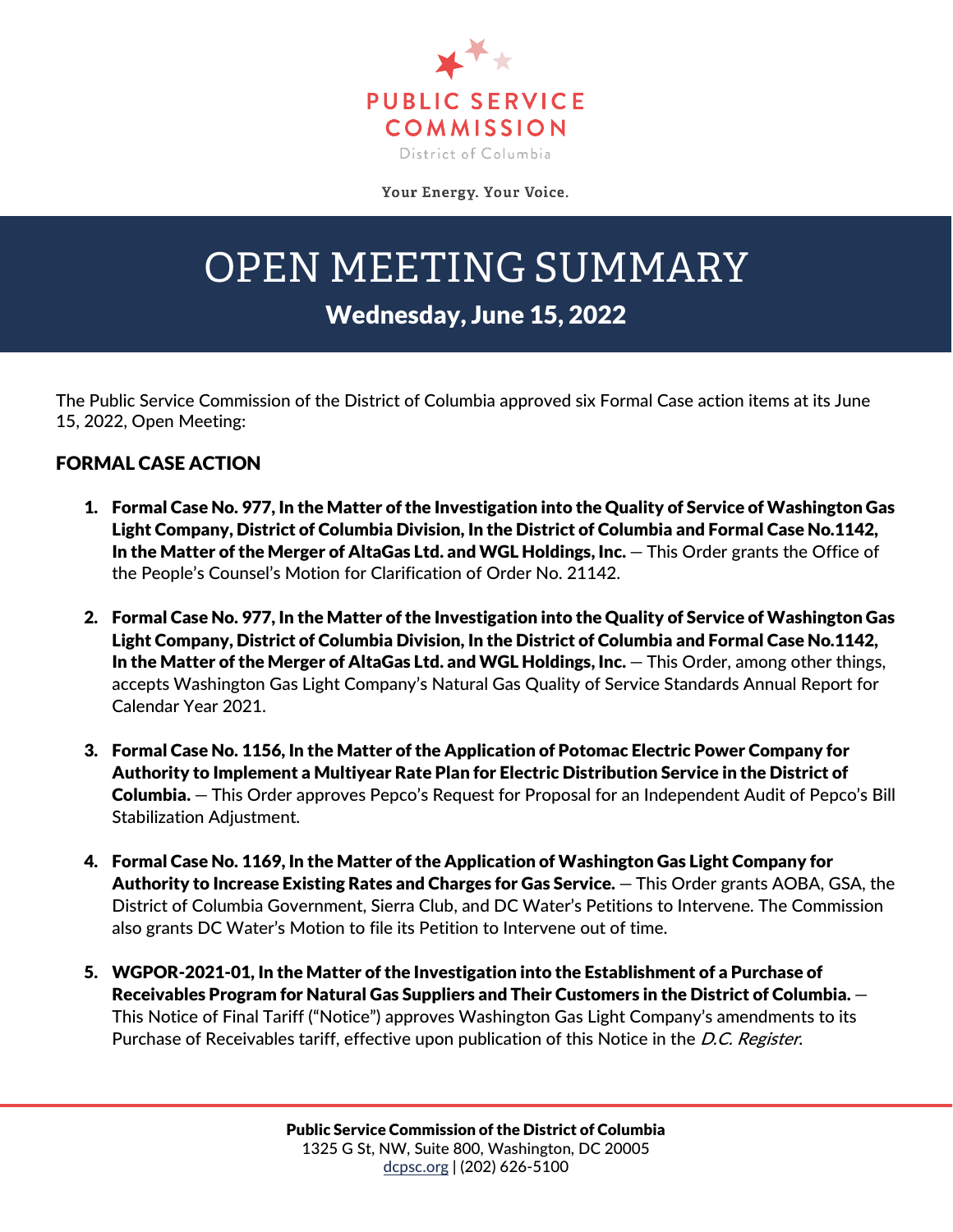

Your Energy. Your Voice.

## OPEN MEETING SUMMARY

## Wednesday, June 15, 2022

The Public Service Commission of the District of Columbia approved six Formal Case action items at its June 15, 2022, Open Meeting:

## FORMAL CASE ACTION

- 1. Formal Case No. 977, In the Matter of the Investigation into the Quality of Service of Washington Gas Light Company, District of Columbia Division, In the District of Columbia and Formal Case No.1142, In the Matter of the Merger of AltaGas Ltd. and WGL Holdings, Inc. — This Order grants the Office of the People's Counsel's Motion for Clarification of Order No. 21142.
- 2. Formal Case No. 977, In the Matter of the Investigation into the Quality of Service of Washington Gas Light Company, District of Columbia Division, In the District of Columbia and Formal Case No.1142, In the Matter of the Merger of AltaGas Ltd. and WGL Holdings, Inc. — This Order, among other things, accepts Washington Gas Light Company's Natural Gas Quality of Service Standards Annual Report for Calendar Year 2021.
- 3. Formal Case No. 1156, In the Matter of the Application of Potomac Electric Power Company for Authority to Implement a Multiyear Rate Plan for Electric Distribution Service in the District of Columbia. — This Order approves Pepco's Request for Proposal for an Independent Audit of Pepco's Bill Stabilization Adjustment.
- 4. Formal Case No. 1169, In the Matter of the Application of Washington Gas Light Company for Authority to Increase Existing Rates and Charges for Gas Service. — This Order grants AOBA, GSA, the District of Columbia Government, Sierra Club, and DC Water's Petitions to Intervene. The Commission also grants DC Water's Motion to file its Petition to Intervene out of time.
- 5. WGPOR-2021-01, In the Matter of the Investigation into the Establishment of a Purchase of Receivables Program for Natural Gas Suppliers and Their Customers in the District of Columbia. — This Notice of Final Tariff ("Notice") approves Washington Gas Light Company's amendments to its Purchase of Receivables tariff, effective upon publication of this Notice in the D.C. Register.